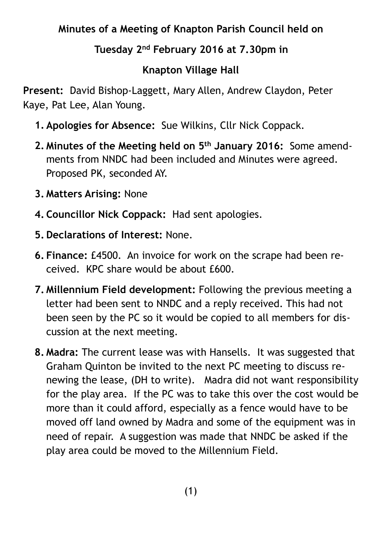## **Minutes of a Meeting of Knapton Parish Council held on**

## **Tuesday 2nd February 2016 at 7.30pm in**

## **Knapton Village Hall**

**Present:** David Bishop-Laggett, Mary Allen, Andrew Claydon, Peter Kaye, Pat Lee, Alan Young.

- **1. Apologies for Absence:** Sue Wilkins, Cllr Nick Coppack.
- **2. Minutes of the Meeting held on 5th January 2016:** Some amendments from NNDC had been included and Minutes were agreed. Proposed PK, seconded AY.
- **3. Matters Arising:** None
- **4. Councillor Nick Coppack:** Had sent apologies.
- **5. Declarations of Interest:** None.
- **6. Finance:** £4500. An invoice for work on the scrape had been received. KPC share would be about £600.
- **7. Millennium Field development:** Following the previous meeting a letter had been sent to NNDC and a reply received. This had not been seen by the PC so it would be copied to all members for discussion at the next meeting.
- **8. Madra:** The current lease was with Hansells. It was suggested that Graham Quinton be invited to the next PC meeting to discuss renewing the lease, (DH to write). Madra did not want responsibility for the play area. If the PC was to take this over the cost would be more than it could afford, especially as a fence would have to be moved off land owned by Madra and some of the equipment was in need of repair. A suggestion was made that NNDC be asked if the play area could be moved to the Millennium Field.